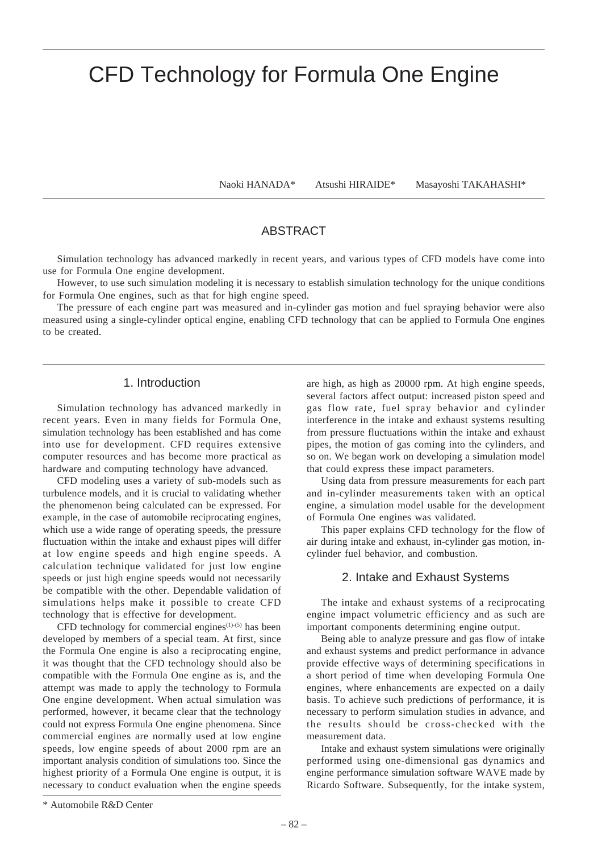# CFD Technology for Formula One Engine

Naoki HANADA\* Atsushi HIRAIDE\* Masayoshi TAKAHASHI\*

# ABSTRACT

Simulation technology has advanced markedly in recent years, and various types of CFD models have come into use for Formula One engine development.

However, to use such simulation modeling it is necessary to establish simulation technology for the unique conditions for Formula One engines, such as that for high engine speed.

The pressure of each engine part was measured and in-cylinder gas motion and fuel spraying behavior were also measured using a single-cylinder optical engine, enabling CFD technology that can be applied to Formula One engines to be created.

## 1. Introduction

Simulation technology has advanced markedly in recent years. Even in many fields for Formula One, simulation technology has been established and has come into use for development. CFD requires extensive computer resources and has become more practical as hardware and computing technology have advanced.

CFD modeling uses a variety of sub-models such as turbulence models, and it is crucial to validating whether the phenomenon being calculated can be expressed. For example, in the case of automobile reciprocating engines, which use a wide range of operating speeds, the pressure fluctuation within the intake and exhaust pipes will differ at low engine speeds and high engine speeds. A calculation technique validated for just low engine speeds or just high engine speeds would not necessarily be compatible with the other. Dependable validation of simulations helps make it possible to create CFD technology that is effective for development.

CFD technology for commercial engines $(1)-(5)$  has been developed by members of a special team. At first, since the Formula One engine is also a reciprocating engine, it was thought that the CFD technology should also be compatible with the Formula One engine as is, and the attempt was made to apply the technology to Formula One engine development. When actual simulation was performed, however, it became clear that the technology could not express Formula One engine phenomena. Since commercial engines are normally used at low engine speeds, low engine speeds of about 2000 rpm are an important analysis condition of simulations too. Since the highest priority of a Formula One engine is output, it is necessary to conduct evaluation when the engine speeds

are high, as high as 20000 rpm. At high engine speeds, several factors affect output: increased piston speed and gas flow rate, fuel spray behavior and cylinder interference in the intake and exhaust systems resulting from pressure fluctuations within the intake and exhaust pipes, the motion of gas coming into the cylinders, and so on. We began work on developing a simulation model that could express these impact parameters.

Using data from pressure measurements for each part and in-cylinder measurements taken with an optical engine, a simulation model usable for the development of Formula One engines was validated.

This paper explains CFD technology for the flow of air during intake and exhaust, in-cylinder gas motion, incylinder fuel behavior, and combustion.

# 2. Intake and Exhaust Systems

The intake and exhaust systems of a reciprocating engine impact volumetric efficiency and as such are important components determining engine output.

Being able to analyze pressure and gas flow of intake and exhaust systems and predict performance in advance provide effective ways of determining specifications in a short period of time when developing Formula One engines, where enhancements are expected on a daily basis. To achieve such predictions of performance, it is necessary to perform simulation studies in advance, and the results should be cross-checked with the measurement data.

Intake and exhaust system simulations were originally performed using one-dimensional gas dynamics and engine performance simulation software WAVE made by Ricardo Software. Subsequently, for the intake system,

<sup>\*</sup> Automobile R&D Center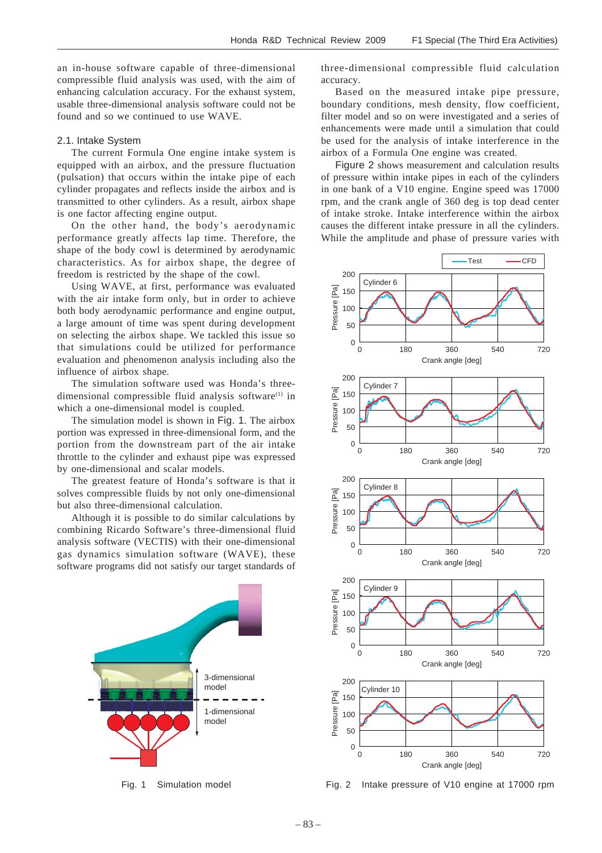an in-house software capable of three-dimensional compressible fluid analysis was used, with the aim of enhancing calculation accuracy. For the exhaust system, usable three-dimensional analysis software could not be found and so we continued to use WAVE.

#### 2.1. Intake System

The current Formula One engine intake system is equipped with an airbox, and the pressure fluctuation (pulsation) that occurs within the intake pipe of each cylinder propagates and reflects inside the airbox and is transmitted to other cylinders. As a result, airbox shape is one factor affecting engine output.

On the other hand, the body's aerodynamic performance greatly affects lap time. Therefore, the shape of the body cowl is determined by aerodynamic characteristics. As for airbox shape, the degree of freedom is restricted by the shape of the cowl.

Using WAVE, at first, performance was evaluated with the air intake form only, but in order to achieve both body aerodynamic performance and engine output, a large amount of time was spent during development on selecting the airbox shape. We tackled this issue so that simulations could be utilized for performance evaluation and phenomenon analysis including also the influence of airbox shape.

The simulation software used was Honda's threedimensional compressible fluid analysis software $(1)$  in which a one-dimensional model is coupled.

The simulation model is shown in Fig. 1. The airbox portion was expressed in three-dimensional form, and the portion from the downstream part of the air intake throttle to the cylinder and exhaust pipe was expressed by one-dimensional and scalar models.

The greatest feature of Honda's software is that it solves compressible fluids by not only one-dimensional but also three-dimensional calculation.

Although it is possible to do similar calculations by combining Ricardo Software's three-dimensional fluid analysis software (VECTIS) with their one-dimensional gas dynamics simulation software (WAVE), these software programs did not satisfy our target standards of



three-dimensional compressible fluid calculation accuracy.

Based on the measured intake pipe pressure, boundary conditions, mesh density, flow coefficient, filter model and so on were investigated and a series of enhancements were made until a simulation that could be used for the analysis of intake interference in the airbox of a Formula One engine was created.

Figure 2 shows measurement and calculation results of pressure within intake pipes in each of the cylinders in one bank of a V10 engine. Engine speed was 17000 rpm, and the crank angle of 360 deg is top dead center of intake stroke. Intake interference within the airbox causes the different intake pressure in all the cylinders. While the amplitude and phase of pressure varies with



Fig. 1 Simulation model Fig. 2 Intake pressure of V10 engine at 17000 rpm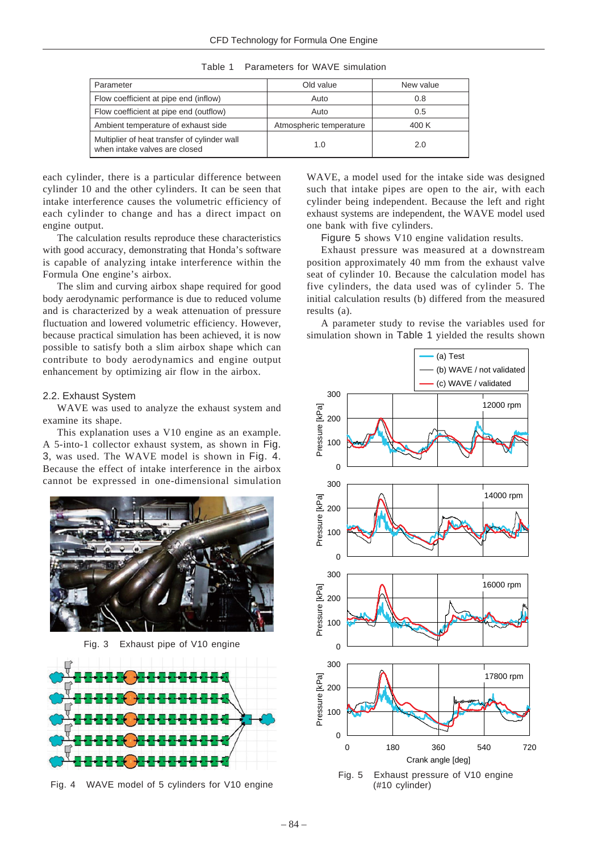| Table 1 | Parameters for WAVE simulation |  |
|---------|--------------------------------|--|
|         |                                |  |

| Parameter                                                                     | Old value               | New value |
|-------------------------------------------------------------------------------|-------------------------|-----------|
| Flow coefficient at pipe end (inflow)                                         | Auto                    | 0.8       |
| Flow coefficient at pipe end (outflow)                                        | Auto                    | 0.5       |
| Ambient temperature of exhaust side                                           | Atmospheric temperature | 400 K     |
| Multiplier of heat transfer of cylinder wall<br>when intake valves are closed | 1.0                     | 2.0       |

each cylinder, there is a particular difference between cylinder 10 and the other cylinders. It can be seen that intake interference causes the volumetric efficiency of each cylinder to change and has a direct impact on engine output.

The calculation results reproduce these characteristics with good accuracy, demonstrating that Honda's software is capable of analyzing intake interference within the Formula One engine's airbox.

The slim and curving airbox shape required for good body aerodynamic performance is due to reduced volume and is characterized by a weak attenuation of pressure fluctuation and lowered volumetric efficiency. However, because practical simulation has been achieved, it is now possible to satisfy both a slim airbox shape which can contribute to body aerodynamics and engine output enhancement by optimizing air flow in the airbox.

#### 2.2. Exhaust System

WAVE was used to analyze the exhaust system and examine its shape.

This explanation uses a V10 engine as an example. A 5-into-1 collector exhaust system, as shown in Fig. 3, was used. The WAVE model is shown in Fig. 4. Because the effect of intake interference in the airbox cannot be expressed in one-dimensional simulation



Fig. 3 Exhaust pipe of V10 engine



Fig. 4 WAVE model of 5 cylinders for V10 engine

WAVE, a model used for the intake side was designed such that intake pipes are open to the air, with each cylinder being independent. Because the left and right exhaust systems are independent, the WAVE model used one bank with five cylinders.

Figure 5 shows V10 engine validation results.

Exhaust pressure was measured at a downstream position approximately 40 mm from the exhaust valve seat of cylinder 10. Because the calculation model has five cylinders, the data used was of cylinder 5. The initial calculation results (b) differed from the measured results (a).

A parameter study to revise the variables used for simulation shown in Table 1 yielded the results shown

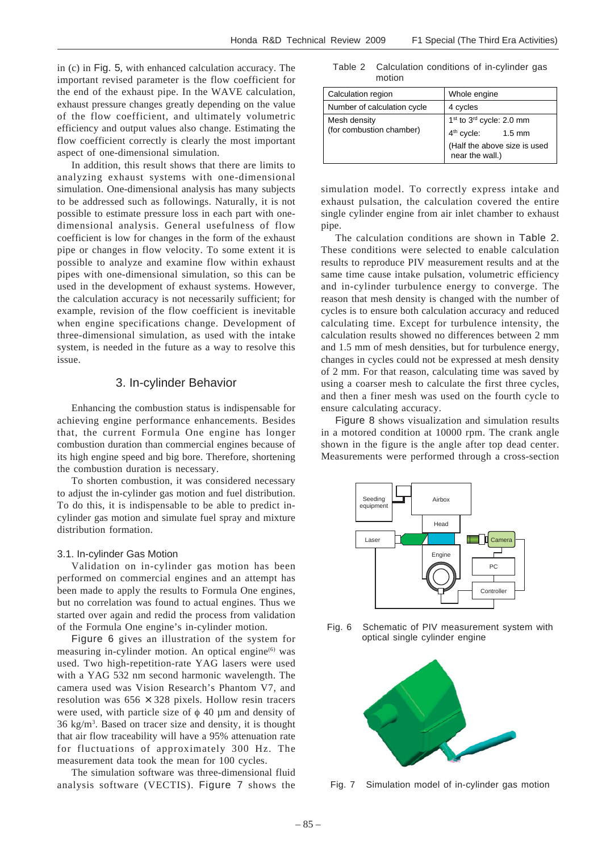in (c) in Fig. 5, with enhanced calculation accuracy. The important revised parameter is the flow coefficient for the end of the exhaust pipe. In the WAVE calculation, exhaust pressure changes greatly depending on the value of the flow coefficient, and ultimately volumetric efficiency and output values also change. Estimating the flow coefficient correctly is clearly the most important aspect of one-dimensional simulation.

In addition, this result shows that there are limits to analyzing exhaust systems with one-dimensional simulation. One-dimensional analysis has many subjects to be addressed such as followings. Naturally, it is not possible to estimate pressure loss in each part with onedimensional analysis. General usefulness of flow coefficient is low for changes in the form of the exhaust pipe or changes in flow velocity. To some extent it is possible to analyze and examine flow within exhaust pipes with one-dimensional simulation, so this can be used in the development of exhaust systems. However, the calculation accuracy is not necessarily sufficient; for example, revision of the flow coefficient is inevitable when engine specifications change. Development of three-dimensional simulation, as used with the intake system, is needed in the future as a way to resolve this issue.

## 3. In-cylinder Behavior

Enhancing the combustion status is indispensable for achieving engine performance enhancements. Besides that, the current Formula One engine has longer combustion duration than commercial engines because of its high engine speed and big bore. Therefore, shortening the combustion duration is necessary.

To shorten combustion, it was considered necessary to adjust the in-cylinder gas motion and fuel distribution. To do this, it is indispensable to be able to predict incylinder gas motion and simulate fuel spray and mixture distribution formation.

#### 3.1. In-cylinder Gas Motion

Validation on in-cylinder gas motion has been performed on commercial engines and an attempt has been made to apply the results to Formula One engines, but no correlation was found to actual engines. Thus we started over again and redid the process from validation of the Formula One engine's in-cylinder motion.

Figure 6 gives an illustration of the system for measuring in-cylinder motion. An optical engine $(6)$  was used. Two high-repetition-rate YAG lasers were used with a YAG 532 nm second harmonic wavelength. The camera used was Vision Research's Phantom V7, and resolution was  $656 \times 328$  pixels. Hollow resin tracers were used, with particle size of  $\phi$  40  $\mu$ m and density of 36 kg/m3 . Based on tracer size and density, it is thought that air flow traceability will have a 95% attenuation rate for fluctuations of approximately 300 Hz. The measurement data took the mean for 100 cycles.

The simulation software was three-dimensional fluid analysis software (VECTIS). Figure 7 shows the

Table 2 Calculation conditions of in-cylinder gas motion

| Calculation region                       | Whole engine                                     |  |
|------------------------------------------|--------------------------------------------------|--|
| Number of calculation cycle              | 4 cycles                                         |  |
| Mesh density<br>(for combustion chamber) | 1 <sup>st</sup> to 3 <sup>rd</sup> cycle: 2.0 mm |  |
|                                          | $4th$ cycle:<br>$1.5$ mm                         |  |
|                                          | (Half the above size is used<br>near the wall.)  |  |

simulation model. To correctly express intake and exhaust pulsation, the calculation covered the entire single cylinder engine from air inlet chamber to exhaust pipe.

The calculation conditions are shown in Table 2. These conditions were selected to enable calculation results to reproduce PIV measurement results and at the same time cause intake pulsation, volumetric efficiency and in-cylinder turbulence energy to converge. The reason that mesh density is changed with the number of cycles is to ensure both calculation accuracy and reduced calculating time. Except for turbulence intensity, the calculation results showed no differences between 2 mm and 1.5 mm of mesh densities, but for turbulence energy, changes in cycles could not be expressed at mesh density of 2 mm. For that reason, calculating time was saved by using a coarser mesh to calculate the first three cycles, and then a finer mesh was used on the fourth cycle to ensure calculating accuracy.

Figure 8 shows visualization and simulation results in a motored condition at 10000 rpm. The crank angle shown in the figure is the angle after top dead center. Measurements were performed through a cross-section



Fig. 6 Schematic of PIV measurement system with optical single cylinder engine



Fig. 7 Simulation model of in-cylinder gas motion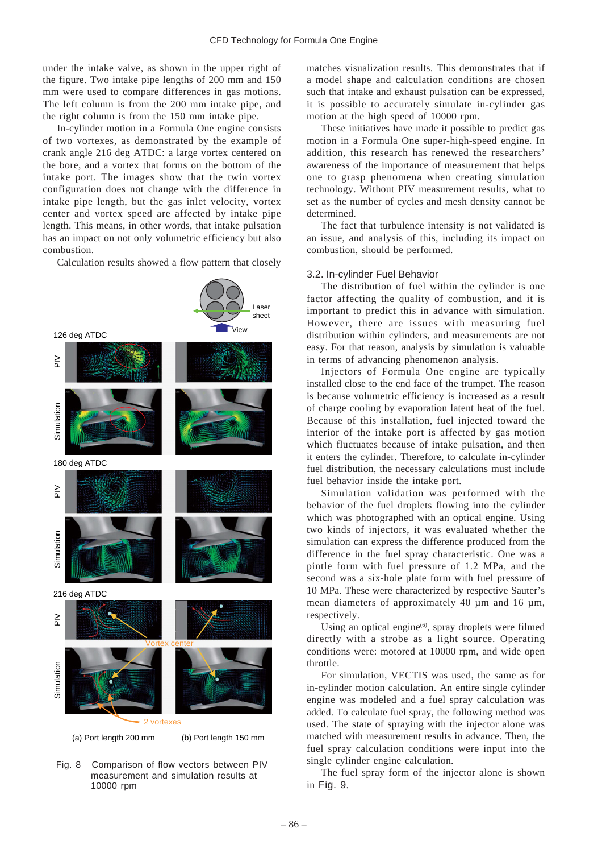under the intake valve, as shown in the upper right of the figure. Two intake pipe lengths of 200 mm and 150 mm were used to compare differences in gas motions. The left column is from the 200 mm intake pipe, and the right column is from the 150 mm intake pipe.

In-cylinder motion in a Formula One engine consists of two vortexes, as demonstrated by the example of crank angle 216 deg ATDC: a large vortex centered on the bore, and a vortex that forms on the bottom of the intake port. The images show that the twin vortex configuration does not change with the difference in intake pipe length, but the gas inlet velocity, vortex center and vortex speed are affected by intake pipe length. This means, in other words, that intake pulsation has an impact on not only volumetric efficiency but also combustion.

Calculation results showed a flow pattern that closely



Fig. 8 Comparison of flow vectors between PIV measurement and simulation results at 10000 rpm

matches visualization results. This demonstrates that if a model shape and calculation conditions are chosen such that intake and exhaust pulsation can be expressed, it is possible to accurately simulate in-cylinder gas motion at the high speed of 10000 rpm.

These initiatives have made it possible to predict gas motion in a Formula One super-high-speed engine. In addition, this research has renewed the researchers' awareness of the importance of measurement that helps one to grasp phenomena when creating simulation technology. Without PIV measurement results, what to set as the number of cycles and mesh density cannot be determined.

The fact that turbulence intensity is not validated is an issue, and analysis of this, including its impact on combustion, should be performed.

#### 3.2. In-cylinder Fuel Behavior

The distribution of fuel within the cylinder is one factor affecting the quality of combustion, and it is important to predict this in advance with simulation. However, there are issues with measuring fuel distribution within cylinders, and measurements are not easy. For that reason, analysis by simulation is valuable in terms of advancing phenomenon analysis.

Injectors of Formula One engine are typically installed close to the end face of the trumpet. The reason is because volumetric efficiency is increased as a result of charge cooling by evaporation latent heat of the fuel. Because of this installation, fuel injected toward the interior of the intake port is affected by gas motion which fluctuates because of intake pulsation, and then it enters the cylinder. Therefore, to calculate in-cylinder fuel distribution, the necessary calculations must include fuel behavior inside the intake port.

Simulation validation was performed with the behavior of the fuel droplets flowing into the cylinder which was photographed with an optical engine. Using two kinds of injectors, it was evaluated whether the simulation can express the difference produced from the difference in the fuel spray characteristic. One was a pintle form with fuel pressure of 1.2 MPa, and the second was a six-hole plate form with fuel pressure of 10 MPa. These were characterized by respective Sauter's mean diameters of approximately 40  $\mu$ m and 16  $\mu$ m, respectively.

Using an optical engine $(6)$ , spray droplets were filmed directly with a strobe as a light source. Operating conditions were: motored at 10000 rpm, and wide open throttle.

For simulation, VECTIS was used, the same as for in-cylinder motion calculation. An entire single cylinder engine was modeled and a fuel spray calculation was added. To calculate fuel spray, the following method was used. The state of spraying with the injector alone was matched with measurement results in advance. Then, the fuel spray calculation conditions were input into the single cylinder engine calculation.

The fuel spray form of the injector alone is shown in Fig. 9.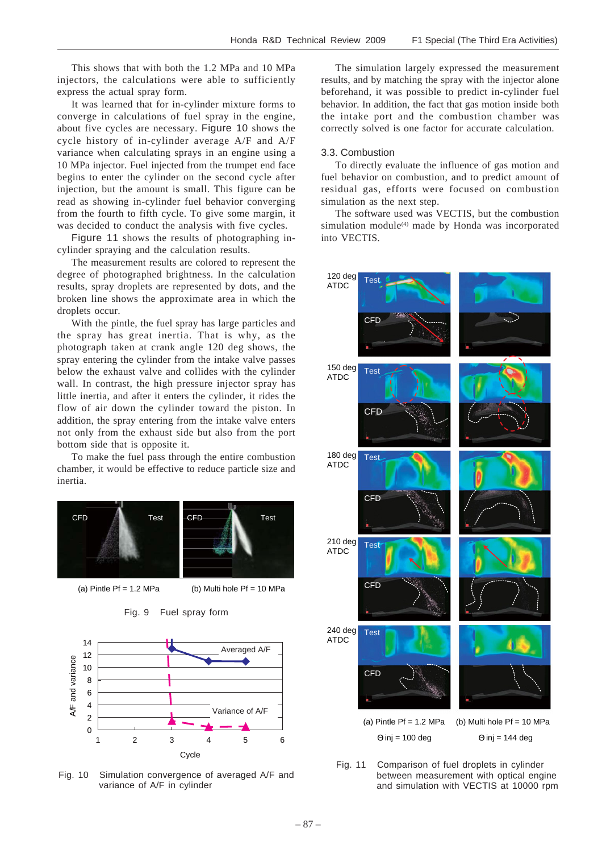This shows that with both the 1.2 MPa and 10 MPa injectors, the calculations were able to sufficiently express the actual spray form.

It was learned that for in-cylinder mixture forms to converge in calculations of fuel spray in the engine, about five cycles are necessary. Figure 10 shows the cycle history of in-cylinder average A/F and A/F variance when calculating sprays in an engine using a 10 MPa injector. Fuel injected from the trumpet end face begins to enter the cylinder on the second cycle after injection, but the amount is small. This figure can be read as showing in-cylinder fuel behavior converging from the fourth to fifth cycle. To give some margin, it was decided to conduct the analysis with five cycles.

Figure 11 shows the results of photographing incylinder spraying and the calculation results.

The measurement results are colored to represent the degree of photographed brightness. In the calculation results, spray droplets are represented by dots, and the broken line shows the approximate area in which the droplets occur.

With the pintle, the fuel spray has large particles and the spray has great inertia. That is why, as the photograph taken at crank angle 120 deg shows, the spray entering the cylinder from the intake valve passes below the exhaust valve and collides with the cylinder wall. In contrast, the high pressure injector spray has little inertia, and after it enters the cylinder, it rides the flow of air down the cylinder toward the piston. In addition, the spray entering from the intake valve enters not only from the exhaust side but also from the port bottom side that is opposite it.

To make the fuel pass through the entire combustion chamber, it would be effective to reduce particle size and inertia.



(a) Pintle Pf =  $1.2$  MPa (b) Multi hole Pf =  $10$  MPa



Fig. 9 Fuel spray form

Fig. 10 Simulation convergence of averaged A/F and variance of A/F in cylinder

The simulation largely expressed the measurement results, and by matching the spray with the injector alone beforehand, it was possible to predict in-cylinder fuel behavior. In addition, the fact that gas motion inside both the intake port and the combustion chamber was correctly solved is one factor for accurate calculation.

### 3.3. Combustion

To directly evaluate the influence of gas motion and fuel behavior on combustion, and to predict amount of residual gas, efforts were focused on combustion simulation as the next step.

The software used was VECTIS, but the combustion simulation module<sup>(4)</sup> made by Honda was incorporated into VECTIS.



Fig. 11 Comparison of fuel droplets in cylinder between measurement with optical engine and simulation with VECTIS at 10000 rpm